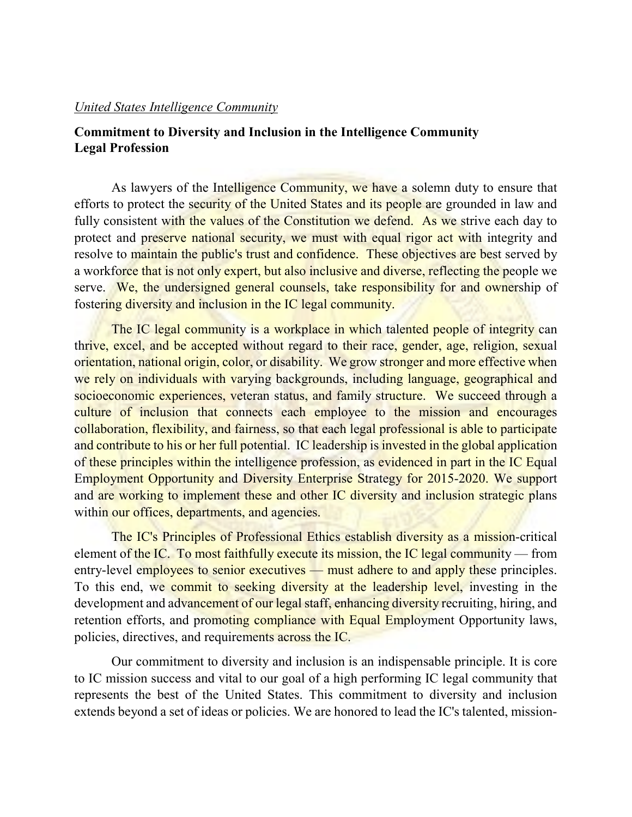## *United States Intelligence Community*

## **Commitment to Diversity and Inclusion in the Intelligence Community Legal Profession**

As lawyers of the Intelligence Community, we have a solemn duty to ensure that efforts to protect the security of the United States and its people are grounded in law and fully consistent with the values of the Constitution we defend. As we strive each day to protect and preserve national security, we must with equal rigor act with integrity and resolve to maintain the public's trust and confidence. These objectives are best served by a workforce that is not only expert, but also inclusive and diverse, reflecting the people we serve. We, the undersigned general counsels, take responsibility for and ownership of fostering diversity and inclusion in the IC legal community.

The IC legal community is a workplace in which talented people of integrity can thrive, excel, and be accepted without regard to their race, gender, age, religion, sexual orientation, national origin, color, or disability. We grow stronger and more effective when we rely on individuals with varying backgrounds, including language, geographical and socioeconomic experiences, veteran status, and family structure. We succeed through a culture of inclusion that connects each employee to the mission and encourages collaboration, flexibility, and fairness, so that each legal professional is able to participate and contribute to his or her full potential. IC leadership is invested in the global application of these principles within the intelligence profession, as evidenced in part in the IC Equal Employment Opportunity and Diversity Enterprise Strategy for 2015-2020. We support and are working to implement these and other IC diversity and inclusion strategic plans within our offices, departments, and agencies.

The IC's Principles of Professional Ethics establish diversity as a mission-critical element of the IC. To most faithfully execute its mission, the IC legal community — from entry-level employees to senior executives — must adhere to and apply these principles. To this end, we commit to seeking diversity at the leadership level, investing in the development and advancement of our legal staff, enhancing diversity recruiting, hiring, and retention efforts, and promoting compliance with Equal Employment Opportunity laws, policies, directives, and requirements across the IC.

Our commitment to diversity and inclusion is an indispensable principle. It is core to IC mission success and vital to our goal of a high performing IC legal community that represents the best of the United States. This commitment to diversity and inclusion extends beyond a set of ideas or policies. We are honored to lead the IC's talented, mission-